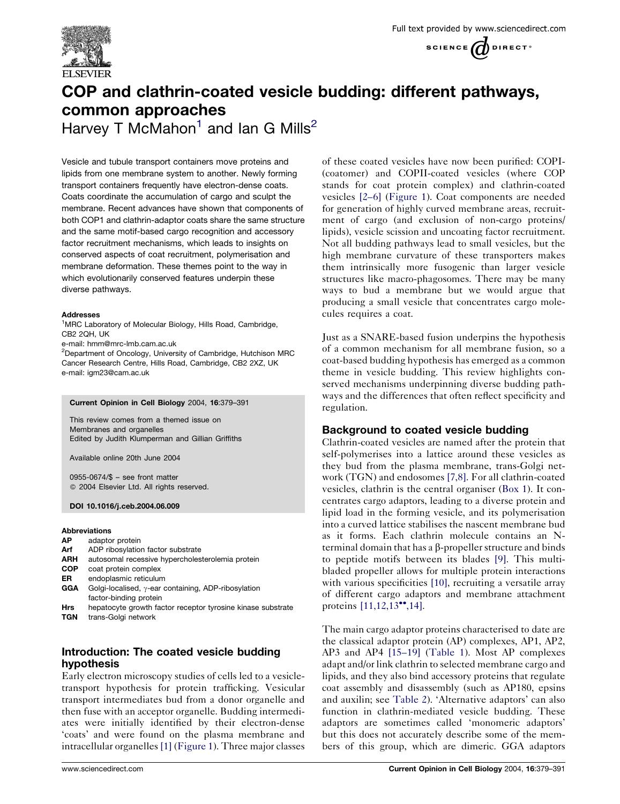



Harvey T McMahon<sup>1</sup> and Ian G Mills<sup>2</sup>

Vesicle and tubule transport containers move proteins and lipids from one membrane system to another. Newly forming transport containers frequently have electron-dense coats. Coats coordinate the accumulation of cargo and sculpt the membrane. Recent advances have shown that components of both COP1 and clathrin-adaptor coats share the same structure and the same motif-based cargo recognition and accessory factor recruitment mechanisms, which leads to insights on conserved aspects of coat recruitment, polymerisation and membrane deformation. These themes point to the way in which evolutionarily conserved features underpin these diverse pathways.

#### Addresses

<sup>1</sup>MRC Laboratory of Molecular Biology, Hills Road, Cambridge, CB2 2QH, UK

e-mail: hmm@mrc-lmb.cam.ac.uk

<sup>2</sup>Department of Oncology, University of Cambridge, Hutchison MRC Cancer Research Centre, Hills Road, Cambridge, CB2 2XZ, UK e-mail: igm23@cam.ac.uk

#### Current Opinion in Cell Biology 2004, 16:379–391

This review comes from a themed issue on Membranes and organelles Edited by Judith Klumperman and Gillian Griffiths

Available online 20th June 2004

0955-0674/\$ – see front matter 2004 Elsevier Ltd. All rights reserved.

### DOI 10.1016/j.ceb.2004.06.009

### Abbreviations

- AP adaptor protein
- Arf ADP ribosylation factor substrate
- ARH autosomal recessive hypercholesterolemia protein
- COP coat protein complex
- ER endoplasmic reticulum
- GGA Golgi-localised,  $\gamma$ -ear containing, ADP-ribosylation factor-binding protein
- Hrs hepatocyte growth factor receptor tyrosine kinase substrate TGN trans-Golgi network

# Introduction: The coated vesicle budding hypothesis

Early electron microscopy studies of cells led to a vesicletransport hypothesis for protein trafficking. Vesicular transport intermediates bud from a donor organelle and then fuse with an acceptor organelle. Budding intermediates were initially identified by their electron-dense 'coats' and were found on the plasma membrane and intracellular organelles [\[1\]](#page-11-0) [\(Figure 1\)](#page-1-0). Three major classes

of these coated vesicles have now been purified: COPI- (coatomer) and COPII-coated vesicles (where COP stands for coat protein complex) and clathrin-coated vesicles [\[2–6\]](#page-11-0) [\(Figure 1](#page-1-0)). Coat components are needed for generation of highly curved membrane areas, recruitment of cargo (and exclusion of non-cargo proteins/ lipids), vesicle scission and uncoating factor recruitment. Not all budding pathways lead to small vesicles, but the high membrane curvature of these transporters makes them intrinsically more fusogenic than larger vesicle structures like macro-phagosomes. There may be many ways to bud a membrane but we would argue that producing a small vesicle that concentrates cargo molecules requires a coat.

Just as a SNARE-based fusion underpins the hypothesis of a common mechanism for all membrane fusion, so a coat-based budding hypothesis has emerged as a common theme in vesicle budding. This review highlights conserved mechanisms underpinning diverse budding pathways and the differences that often reflect specificity and regulation.

### Background to coated vesicle budding

Clathrin-coated vesicles are named after the protein that self-polymerises into a lattice around these vesicles as they bud from the plasma membrane, trans-Golgi network (TGN) and endosomes [\[7,8\].](#page-11-0) For all clathrin-coated vesicles, clathrin is the central organiser ([Box 1\)](#page-2-0). It concentrates cargo adaptors, leading to a diverse protein and lipid load in the forming vesicle, and its polymerisation into a curved lattice stabilises the nascent membrane bud as it forms. Each clathrin molecule contains an Nterminal domain that has a  $\beta$ -propeller structure and binds to peptide motifs between its blades [\[9\]](#page-11-0). This multibladed propeller allows for multiple protein interactions with various specificities [\[10\]](#page-11-0), recruiting a versatile array of different cargo adaptors and membrane attachment proteins  $[11, 12, 13^{\bullet\bullet}, 14]$ .

The main cargo adaptor proteins characterised to date are the classical adaptor protein (AP) complexes, AP1, AP2, AP3 and AP4 [\[15–19\]](#page-11-0) ([Table 1\)](#page-3-0). Most AP complexes adapt and/or link clathrin to selected membrane cargo and lipids, and they also bind accessory proteins that regulate coat assembly and disassembly (such as AP180, epsins and auxilin; see [Table 2\)](#page-6-0). 'Alternative adaptors' can also function in clathrin-mediated vesicle budding. These adaptors are sometimes called 'monomeric adaptors' but this does not accurately describe some of the members of this group, which are dimeric. GGA adaptors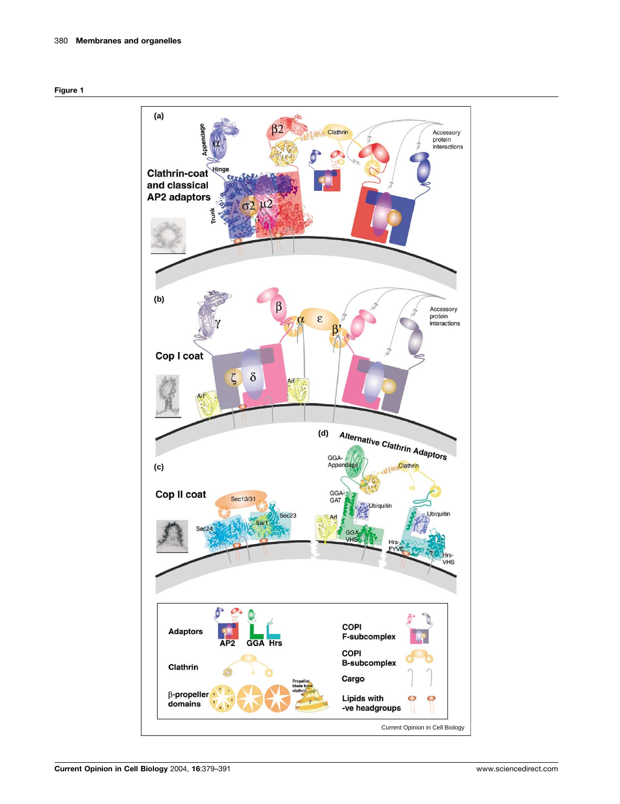<span id="page-1-0"></span>

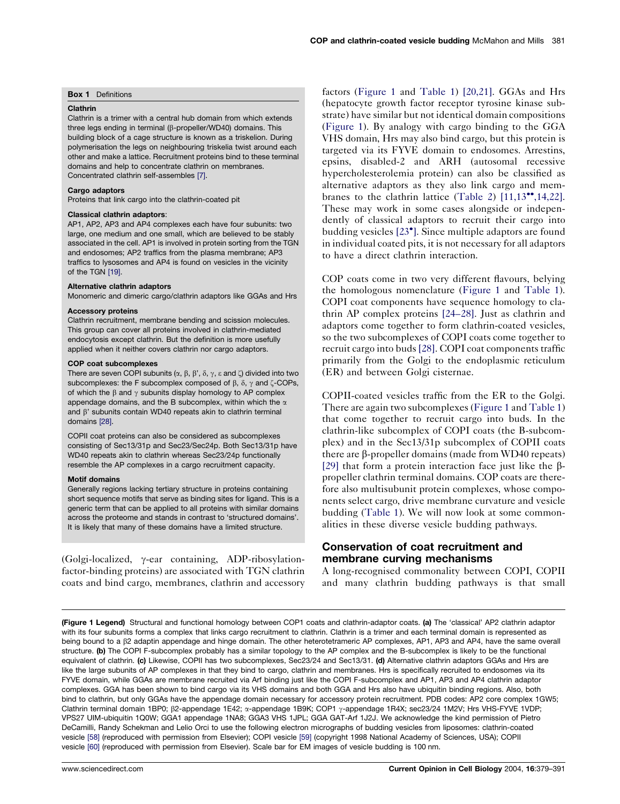### <span id="page-2-0"></span>Box 1 Definitions

#### Clathrin

Clathrin is a trimer with a central hub domain from which extends three legs ending in terminal (β-propeller/WD40) domains. This building block of a cage structure is known as a triskelion. During polymerisation the legs on neighbouring triskelia twist around each other and make a lattice. Recruitment proteins bind to these terminal domains and help to concentrate clathrin on membranes. Concentrated clathrin self-assembles [\[7\].](#page-11-0)

#### Cargo adaptors

Proteins that link cargo into the clathrin-coated pit

### Classical clathrin adaptors:

AP1, AP2, AP3 and AP4 complexes each have four subunits: two large, one medium and one small, which are believed to be stably associated in the cell. AP1 is involved in protein sorting from the TGN and endosomes; AP2 traffics from the plasma membrane; AP3 traffics to lysosomes and AP4 is found on vesicles in the vicinity of the TGN [\[19\].](#page-11-0)

#### Alternative clathrin adaptors

Monomeric and dimeric cargo/clathrin adaptors like GGAs and Hrs

#### Accessory proteins

Clathrin recruitment, membrane bending and scission molecules. This group can cover all proteins involved in clathrin-mediated endocytosis except clathrin. But the definition is more usefully applied when it neither covers clathrin nor cargo adaptors.

### COP coat subcomplexes

There are seven COPI subunits  $(\alpha, \beta, \beta', \delta, \gamma, \varepsilon$  and  $\zeta$ ) divided into two subcomplexes: the F subcomplex composed of  $\beta$ ,  $\delta$ ,  $\gamma$  and  $\zeta$ -COPs, of which the  $\beta$  and  $\gamma$  subunits display homology to AP complex appendage domains, and the B subcomplex, within which the  $\alpha$ and  $\beta$ ' subunits contain WD40 repeats akin to clathrin terminal domains [\[28\]](#page-11-0).

COPII coat proteins can also be considered as subcomplexes consisting of Sec13/31p and Sec23/Sec24p. Both Sec13/31p have WD40 repeats akin to clathrin whereas Sec23/24p functionally resemble the AP complexes in a cargo recruitment capacity.

#### Motif domains

Generally regions lacking tertiary structure in proteins containing short sequence motifs that serve as binding sites for ligand. This is a generic term that can be applied to all proteins with similar domains across the proteome and stands in contrast to 'structured domains'. It is likely that many of these domains have a limited structure.

 $(Golgi-localized, \gamma-ear containing, ADP-ribosylation$ factor-binding proteins) are associated with TGN clathrin coats and bind cargo, membranes, clathrin and accessory factors [\(Figure 1](#page-1-0) and [Table 1\)](#page-3-0) [\[20,21\]](#page-11-0). GGAs and Hrs (hepatocyte growth factor receptor tyrosine kinase substrate) have similar but not identical domain compositions ([Figure 1\)](#page-1-0). By analogy with cargo binding to the GGA VHS domain, Hrs may also bind cargo, but this protein is targeted via its FYVE domain to endosomes. Arrestins, epsins, disabled-2 and ARH (autosomal recessive hypercholesterolemia protein) can also be classified as alternative adaptors as they also link cargo and mem-branes to the clathrin lattice ([Table 2\)](#page-6-0)  $[11,13^{\bullet\bullet},14,22]$  $[11,13^{\bullet\bullet},14,22]$ . These may work in some cases alongside or independently of classical adaptors to recruit their cargo into budding vesicles [\[23](#page-11-0)<sup>°</sup>[\]](#page-11-0). Since multiple adaptors are found in individual coated pits, it is not necessary for all adaptors to have a direct clathrin interaction.

COP coats come in two very different flavours, belying the homologous nomenclature ([Figure 1](#page-1-0) and [Table 1\)](#page-3-0). COPI coat components have sequence homology to clathrin AP complex proteins [\[24–28\].](#page-11-0) Just as clathrin and adaptors come together to form clathrin-coated vesicles, so the two subcomplexes of COPI coats come together to recruit cargo into buds [\[28\].](#page-11-0) COPI coat components traffic primarily from the Golgi to the endoplasmic reticulum (ER) and between Golgi cisternae.

COPII-coated vesicles traffic from the ER to the Golgi. There are again two subcomplexes [\(Figure 1](#page-1-0) and [Table 1](#page-3-0)) that come together to recruit cargo into buds. In the clathrin-like subcomplex of COPI coats (the B-subcomplex) and in the Sec13/31p subcomplex of COPII coats there are  $\beta$ -propeller domains (made from WD40 repeats) [\[29\]](#page-11-0) that form a protein interaction face just like the  $\beta$ propeller clathrin terminal domains. COP coats are therefore also multisubunit protein complexes, whose components select cargo, drive membrane curvature and vesicle budding [\(Table 1\)](#page-3-0). We will now look at some commonalities in these diverse vesicle budding pathways.

## Conservation of coat recruitment and membrane curving mechanisms

A long-recognised commonality between COPI, COPII and many clathrin budding pathways is that small

(Figure 1 Legend) Structural and functional homology between COP1 coats and clathrin-adaptor coats. (a) The 'classical' AP2 clathrin adaptor with its four subunits forms a complex that links cargo recruitment to clathrin. Clathrin is a trimer and each terminal domain is represented as being bound to a  $\beta$ 2 adaptin appendage and hinge domain. The other heterotetrameric AP complexes, AP1, AP3 and AP4, have the same overall structure. (b) The COPI F-subcomplex probably has a similar topology to the AP complex and the B-subcomplex is likely to be the functional equivalent of clathrin. (c) Likewise, COPII has two subcomplexes, Sec23/24 and Sec13/31. (d) Alternative clathrin adaptors GGAs and Hrs are like the large subunits of AP complexes in that they bind to cargo, clathrin and membranes. Hrs is specifically recruited to endosomes via its FYVE domain, while GGAs are membrane recruited via Arf binding just like the COPI F-subcomplex and AP1, AP3 and AP4 clathrin adaptor complexes. GGA has been shown to bind cargo via its VHS domains and both GGA and Hrs also have ubiquitin binding regions. Also, both bind to clathrin, but only GGAs have the appendage domain necessary for accessory protein recruitment. PDB codes: AP2 core complex 1GW5; Clathrin terminal domain 1BP0; β2-appendage 1E42; α-appendage 1B9K; COP1 γ-appendage 1R4X; sec23/24 1M2V; Hrs VHS-FYVE 1VDP; VPS27 UIM-ubiquitin 1Q0W; GGA1 appendage 1NA8; GGA3 VHS 1JPL; GGA GAT-Arf 1J2J. We acknowledge the kind permission of Pietro DeCamilli, Randy Schekman and Lelio Orci to use the following electron micrographs of budding vesicles from liposomes: clathrin-coated vesicle [\[58\]](#page-12-0) (reproduced with permission from Elsevier); COPI vesicle [\[59\]](#page-12-0) (copyright 1998 National Academy of Sciences, USA); COPII vesicle [\[60\]](#page-12-0) (reproduced with permission from Elsevier). Scale bar for EM images of vesicle budding is 100 nm.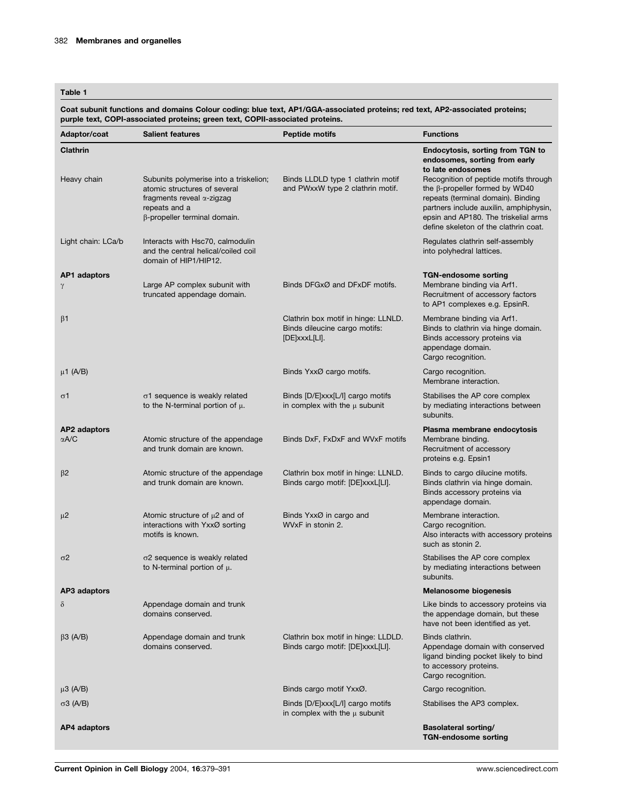## <span id="page-3-0"></span>Table 1

Coat subunit functions and domains Colour coding: blue text, AP1/GGA-associated proteins; red text, AP2-associated proteins;<br>numbe text, CODI associated proteins; green text, CODI associated proteins. purple text, COPI-associated proteins; green text, COPII-associated proteins.

| Adaptor/coat                   | <b>Salient features</b>                                                                                                                                             | <b>Peptide motifs</b>                                                                 | <b>Functions</b>                                                                                                                                                                                                                                                                                                                          |
|--------------------------------|---------------------------------------------------------------------------------------------------------------------------------------------------------------------|---------------------------------------------------------------------------------------|-------------------------------------------------------------------------------------------------------------------------------------------------------------------------------------------------------------------------------------------------------------------------------------------------------------------------------------------|
| <b>Clathrin</b><br>Heavy chain | Subunits polymerise into a triskelion;<br>atomic structures of several<br>fragments reveal $\alpha$ -zigzag<br>repeats and a<br>$\beta$ -propeller terminal domain. | Binds LLDLD type 1 clathrin motif<br>and PWxxW type 2 clathrin motif.                 | Endocytosis, sorting from TGN to<br>endosomes, sorting from early<br>to late endosomes<br>Recognition of peptide motifs through<br>the $\beta$ -propeller formed by WD40<br>repeats (terminal domain). Binding<br>partners include auxilin, amphiphysin,<br>epsin and AP180. The triskelial arms<br>define skeleton of the clathrin coat. |
| Light chain: LCa/b             | Interacts with Hsc70, calmodulin<br>and the central helical/coiled coil<br>domain of HIP1/HIP12.                                                                    |                                                                                       | Regulates clathrin self-assembly<br>into polyhedral lattices.                                                                                                                                                                                                                                                                             |
| <b>AP1</b> adaptors            |                                                                                                                                                                     |                                                                                       | <b>TGN-endosome sorting</b>                                                                                                                                                                                                                                                                                                               |
| γ                              | Large AP complex subunit with<br>truncated appendage domain.                                                                                                        | Binds DFGxØ and DFxDF motifs.                                                         | Membrane binding via Arf1.<br>Recruitment of accessory factors<br>to AP1 complexes e.g. EpsinR.                                                                                                                                                                                                                                           |
| $\beta$ 1                      |                                                                                                                                                                     | Clathrin box motif in hinge: LLNLD.<br>Binds dileucine cargo motifs:<br>[DE]xxxL[LI]. | Membrane binding via Arf1.<br>Binds to clathrin via hinge domain.<br>Binds accessory proteins via<br>appendage domain.<br>Cargo recognition.                                                                                                                                                                                              |
| $\mu$ 1 (A/B)                  |                                                                                                                                                                     | Binds YxxØ cargo motifs.                                                              | Cargo recognition.<br>Membrane interaction.                                                                                                                                                                                                                                                                                               |
| σ1                             | $\sigma$ 1 sequence is weakly related<br>to the N-terminal portion of $\mu$ .                                                                                       | Binds [D/E]xxx[L/I] cargo motifs<br>in complex with the $\mu$ subunit                 | Stabilises the AP core complex<br>by mediating interactions between<br>subunits.                                                                                                                                                                                                                                                          |
| AP2 adaptors<br>$\alpha$ A/C   | Atomic structure of the appendage<br>and trunk domain are known.                                                                                                    | Binds DxF, FxDxF and WVxF motifs                                                      | Plasma membrane endocytosis<br>Membrane binding.<br>Recruitment of accessory<br>proteins e.g. Epsin1                                                                                                                                                                                                                                      |
| $\beta$ 2                      | Atomic structure of the appendage<br>and trunk domain are known.                                                                                                    | Clathrin box motif in hinge: LLNLD.<br>Binds cargo motif: [DE]xxxL[LI].               | Binds to cargo dilucine motifs.<br>Binds clathrin via hinge domain.<br>Binds accessory proteins via<br>appendage domain.                                                                                                                                                                                                                  |
| $\mu$ 2                        | Atomic structure of $\mu$ 2 and of<br>interactions with YxxØ sorting<br>motifs is known.                                                                            | Binds YxxØ in cargo and<br>WVxF in stonin 2.                                          | Membrane interaction.<br>Cargo recognition.<br>Also interacts with accessory proteins<br>such as stonin 2.                                                                                                                                                                                                                                |
| $\sigma$ 2                     | $\sigma$ 2 sequence is weakly related<br>to N-terminal portion of $\mu$ .                                                                                           |                                                                                       | Stabilises the AP core complex<br>by mediating interactions between<br>subunits.                                                                                                                                                                                                                                                          |
| AP3 adaptors                   |                                                                                                                                                                     |                                                                                       | <b>Melanosome biogenesis</b>                                                                                                                                                                                                                                                                                                              |
| δ                              | Appendage domain and trunk<br>domains conserved.                                                                                                                    |                                                                                       | Like binds to accessory proteins via<br>the appendage domain, but these<br>have not been identified as yet.                                                                                                                                                                                                                               |
| $\beta$ 3 (A/B)                | Appendage domain and trunk<br>domains conserved.                                                                                                                    | Clathrin box motif in hinge: LLDLD.<br>Binds cargo motif: [DE]xxxL[LI].               | Binds clathrin.<br>Appendage domain with conserved<br>ligand binding pocket likely to bind<br>to accessory proteins.<br>Cargo recognition.                                                                                                                                                                                                |
| $\mu$ 3 (A/B)                  |                                                                                                                                                                     | Binds cargo motif YxxØ.                                                               | Cargo recognition.                                                                                                                                                                                                                                                                                                                        |
| $\sigma$ 3 (A/B)               |                                                                                                                                                                     | Binds [D/E]xxx[L/I] cargo motifs<br>in complex with the $\mu$ subunit                 | Stabilises the AP3 complex.                                                                                                                                                                                                                                                                                                               |
| AP4 adaptors                   |                                                                                                                                                                     |                                                                                       | <b>Basolateral sorting/</b><br><b>TGN-endosome sorting</b>                                                                                                                                                                                                                                                                                |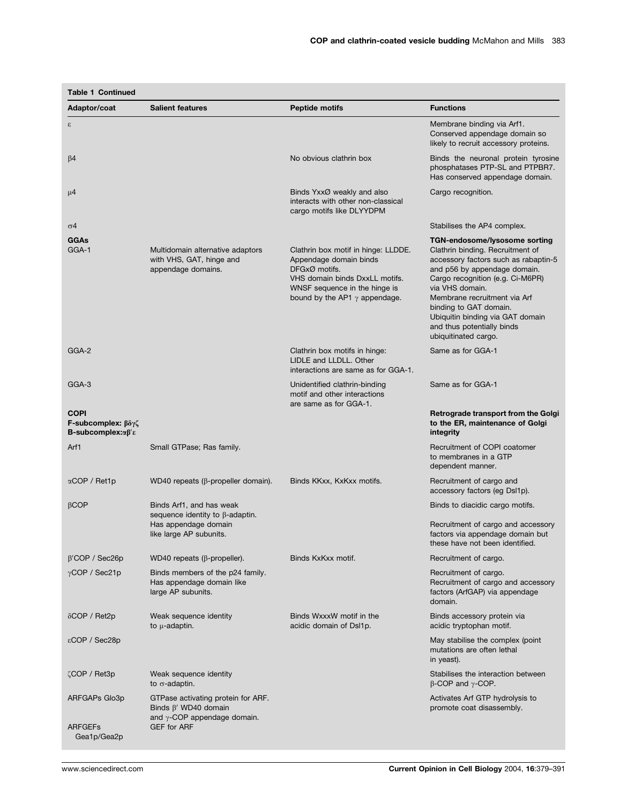| <b>Table 1 Continued</b>                                                      |                                                                                                                               |                                                                                                                                                                                           |                                                                                                                                                                                                                                                                                                                                                      |
|-------------------------------------------------------------------------------|-------------------------------------------------------------------------------------------------------------------------------|-------------------------------------------------------------------------------------------------------------------------------------------------------------------------------------------|------------------------------------------------------------------------------------------------------------------------------------------------------------------------------------------------------------------------------------------------------------------------------------------------------------------------------------------------------|
| Adaptor/coat                                                                  | <b>Salient features</b>                                                                                                       | Peptide motifs                                                                                                                                                                            | <b>Functions</b>                                                                                                                                                                                                                                                                                                                                     |
| 3                                                                             |                                                                                                                               |                                                                                                                                                                                           | Membrane binding via Arf1.<br>Conserved appendage domain so<br>likely to recruit accessory proteins.                                                                                                                                                                                                                                                 |
| $\beta$ 4                                                                     |                                                                                                                               | No obvious clathrin box                                                                                                                                                                   | Binds the neuronal protein tyrosine<br>phosphatases PTP-SL and PTPBR7.<br>Has conserved appendage domain.                                                                                                                                                                                                                                            |
| $\mu$ 4                                                                       |                                                                                                                               | Binds YxxØ weakly and also<br>interacts with other non-classical<br>cargo motifs like DLYYDPM                                                                                             | Cargo recognition.                                                                                                                                                                                                                                                                                                                                   |
| σ4                                                                            |                                                                                                                               |                                                                                                                                                                                           | Stabilises the AP4 complex.                                                                                                                                                                                                                                                                                                                          |
| <b>GGAs</b><br>GGA-1                                                          | Multidomain alternative adaptors<br>with VHS, GAT, hinge and<br>appendage domains.                                            | Clathrin box motif in hinge: LLDDE.<br>Appendage domain binds<br>DFGxØ motifs.<br>VHS domain binds DxxLL motifs.<br>WNSF sequence in the hinge is<br>bound by the AP1 $\gamma$ appendage. | TGN-endosome/lysosome sorting<br>Clathrin binding. Recruitment of<br>accessory factors such as rabaptin-5<br>and p56 by appendage domain.<br>Cargo recognition (e.g. Ci-M6PR)<br>via VHS domain.<br>Membrane recruitment via Arf<br>binding to GAT domain.<br>Ubiquitin binding via GAT domain<br>and thus potentially binds<br>ubiquitinated cargo. |
| GGA-2                                                                         |                                                                                                                               | Clathrin box motifs in hinge:<br>LIDLE and LLDLL. Other<br>interactions are same as for GGA-1.                                                                                            | Same as for GGA-1                                                                                                                                                                                                                                                                                                                                    |
| GGA-3                                                                         |                                                                                                                               | Unidentified clathrin-binding<br>motif and other interactions<br>are same as for GGA-1.                                                                                                   | Same as for GGA-1                                                                                                                                                                                                                                                                                                                                    |
| <b>COPI</b><br><b>F-subcomplex:</b> βδγζ<br>B-subcomplex: $\alpha\beta\delta$ |                                                                                                                               |                                                                                                                                                                                           | Retrograde transport from the Golgi<br>to the ER, maintenance of Golgi<br>integrity                                                                                                                                                                                                                                                                  |
| Arf1                                                                          | Small GTPase; Ras family.                                                                                                     |                                                                                                                                                                                           | Recruitment of COPI coatomer<br>to membranes in a GTP<br>dependent manner.                                                                                                                                                                                                                                                                           |
| $\alpha$ COP / Ret1p                                                          | WD40 repeats ( $\beta$ -propeller domain).                                                                                    | Binds KKxx, KxKxx motifs.                                                                                                                                                                 | Recruitment of cargo and<br>accessory factors (eg DsI1p).                                                                                                                                                                                                                                                                                            |
| $\beta$ COP                                                                   | Binds Arf1, and has weak                                                                                                      |                                                                                                                                                                                           | Binds to diacidic cargo motifs.                                                                                                                                                                                                                                                                                                                      |
|                                                                               | sequence identity to β-adaptin.<br>Has appendage domain<br>like large AP subunits.                                            |                                                                                                                                                                                           | Recruitment of cargo and accessory<br>factors via appendage domain but<br>these have not been identified.                                                                                                                                                                                                                                            |
| $\beta$ <sup>'</sup> COP / Sec26p                                             | WD40 repeats ( $\beta$ -propeller).                                                                                           | Binds KxKxx motif.                                                                                                                                                                        | Recruitment of cargo.                                                                                                                                                                                                                                                                                                                                |
| $\gamma$ COP / Sec21p                                                         | Binds members of the p24 family.<br>Has appendage domain like<br>large AP subunits.                                           |                                                                                                                                                                                           | Recruitment of cargo.<br>Recruitment of cargo and accessory<br>factors (ArfGAP) via appendage<br>domain.                                                                                                                                                                                                                                             |
| $\delta$ COP / Ret2p                                                          | Weak sequence identity<br>to µ-adaptin.                                                                                       | Binds WxxxW motif in the<br>acidic domain of Dsl1p.                                                                                                                                       | Binds accessory protein via<br>acidic tryptophan motif.                                                                                                                                                                                                                                                                                              |
| $\epsilon$ COP / Sec28p                                                       |                                                                                                                               |                                                                                                                                                                                           | May stabilise the complex (point<br>mutations are often lethal<br>in yeast).                                                                                                                                                                                                                                                                         |
| ζCOP / Ret3p                                                                  | Weak sequence identity<br>to $\sigma$ -adaptin.                                                                               |                                                                                                                                                                                           | Stabilises the interaction between<br>$\beta$ -COP and $\gamma$ -COP.                                                                                                                                                                                                                                                                                |
| ARFGAPs Glo3p<br><b>ARFGEFs</b><br>Gea1p/Gea2p                                | GTPase activating protein for ARF.<br>Binds $\beta'$ WD40 domain<br>and $\gamma$ -COP appendage domain.<br><b>GEF for ARF</b> |                                                                                                                                                                                           | Activates Arf GTP hydrolysis to<br>promote coat disassembly.                                                                                                                                                                                                                                                                                         |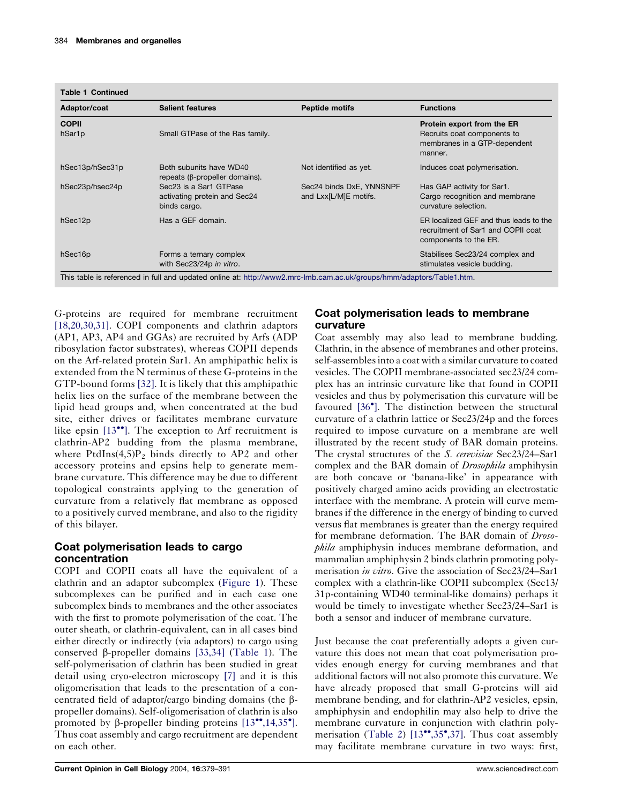<span id="page-5-0"></span>

| Adaptor/coat           | <b>Salient features</b>                                                | <b>Peptide motifs</b>                             | <b>Functions</b>                                                                                      |
|------------------------|------------------------------------------------------------------------|---------------------------------------------------|-------------------------------------------------------------------------------------------------------|
| <b>COPII</b><br>hSar1p | Small GTPase of the Ras family.                                        |                                                   | Protein export from the ER<br>Recruits coat components to<br>membranes in a GTP-dependent<br>manner.  |
| hSec13p/hSec31p        | Both subunits have WD40<br>repeats ( $\beta$ -propeller domains).      | Not identified as yet.                            | Induces coat polymerisation.                                                                          |
| hSec23p/hsec24p        | Sec23 is a Sar1 GTPase<br>activating protein and Sec24<br>binds cargo. | Sec24 binds DxE, YNNSNPF<br>and Lxx[L/M]E motifs. | Has GAP activity for Sar1.<br>Cargo recognition and membrane<br>curvature selection.                  |
| hSec12p                | Has a GEF domain.                                                      |                                                   | ER localized GEF and thus leads to the<br>recruitment of Sar1 and COPII coat<br>components to the ER. |
| hSec16p                | Forms a ternary complex<br>with Sec23/24p in vitro.                    |                                                   | Stabilises Sec23/24 complex and<br>stimulates vesicle budding.                                        |

G-proteins are required for membrane recruitment [\[18,20,30,31\].](#page-11-0) COPI components and clathrin adaptors (AP1, AP3, AP4 and GGAs) are recruited by Arfs (ADP ribosylation factor substrates), whereas COPII depends on the Arf-related protein Sar1. An amphipathic helix is extended from the N terminus of these G-proteins in the GTP-bound forms [\[32\].](#page-11-0) It is likely that this amphipathic helix lies on the surface of the membrane between the lipid head groups and, when concentrated at the bud site, either drives or facilitates membrane curvature like epsin  $[13\bullet]$  $[13\bullet]$  $[13\bullet]$ . The exception to Arf recruitment is clathrin-AP2 budding from the plasma membrane, where  $PtdIns(4,5)P_2$  binds directly to AP2 and other accessory proteins and epsins help to generate membrane curvature. This difference may be due to different topological constraints applying to the generation of curvature from a relatively flat membrane as opposed to a positively curved membrane, and also to the rigidity of this bilayer.

# Coat polymerisation leads to cargo concentration

COPI and COPII coats all have the equivalent of a clathrin and an adaptor subcomplex [\(Figure 1\)](#page-1-0). These subcomplexes can be purified and in each case one subcomplex binds to membranes and the other associates with the first to promote polymerisation of the coat. The outer sheath, or clathrin-equivalent, can in all cases bind either directly or indirectly (via adaptors) to cargo using conserved  $\beta$ -propeller domains [\[33,34\]](#page-12-0) [\(Table 1](#page-3-0)). The self-polymerisation of clathrin has been studied in great detail using cryo-electron microscopy [\[7\]](#page-11-0) and it is this oligomerisation that leads to the presentation of a concentrated field of adaptor/cargo binding domains (the bpropeller domains). Self-oligomerisation of clathrin is also promoted by  $\beta$ -propeller binding proteins  $[13^{\bullet\bullet}, 14, 35^{\bullet}]$  $[13^{\bullet\bullet}, 14, 35^{\bullet}]$ . Thus coat assembly and cargo recruitment are dependent on each other.

## Coat polymerisation leads to membrane curvature

Coat assembly may also lead to membrane budding. Clathrin, in the absence of membranes and other proteins, self-assembles into a coat with a similar curvature to coated vesicles. The COPII membrane-associated sec23/24 complex has an intrinsic curvature like that found in COPII vesicles and thus by polymerisation this curvature will be favoured [\[36](#page-12-0)<sup>°</sup>[\].](#page-12-0) The distinction between the structural curvature of a clathrin lattice or Sec23/24p and the forces required to impose curvature on a membrane are well illustrated by the recent study of BAR domain proteins. The crystal structures of the S. cerevisiae Sec23/24-Sar1 complex and the BAR domain of *Drosophila* amphihysin are both concave or 'banana-like' in appearance with positively charged amino acids providing an electrostatic interface with the membrane. A protein will curve membranes if the difference in the energy of binding to curved versus flat membranes is greater than the energy required for membrane deformation. The BAR domain of Drosophila amphiphysin induces membrane deformation, and mammalian amphiphysin 2 binds clathrin promoting polymerisation in vitro. Give the association of Sec23/24–Sar1 complex with a clathrin-like COPII subcomplex (Sec13/ 31p-containing WD40 terminal-like domains) perhaps it would be timely to investigate whether Sec23/24–Sar1 is both a sensor and inducer of membrane curvature.

Just because the coat preferentially adopts a given curvature this does not mean that coat polymerisation provides enough energy for curving membranes and that additional factors will not also promote this curvature. We have already proposed that small G-proteins will aid membrane bending, and for clathrin-AP2 vesicles, epsin, amphiphysin and endophilin may also help to drive the membrane curvature in conjunction with clathrin poly-merisation ([Table 2\)](#page-6-0)  $[13^{\bullet\bullet}, 35^{\bullet}, 37]$  $[13^{\bullet\bullet}, 35^{\bullet}, 37]$ . Thus coat assembly may facilitate membrane curvature in two ways: first,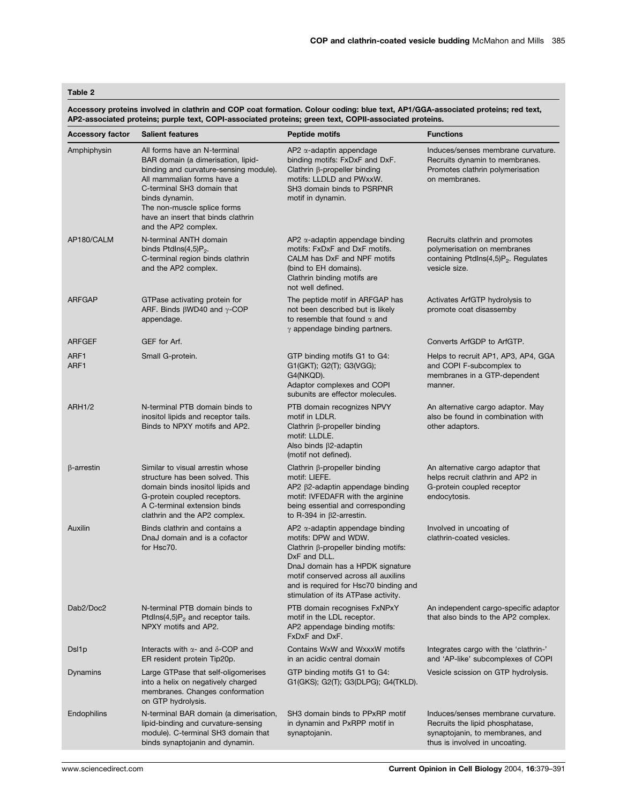## <span id="page-6-0"></span>Table 2

Accessory proteins involved in clathrin and COP coat formation. Colour coding: blue text, AP1/GGA-associated proteins; red text, AP2-associated proteins; purple text, COPI-associated proteins; green text, COPII-associated proteins.

| <b>Accessory factor</b> | <b>Salient features</b>                                                                                                                                                                                                                                                                 | <b>Peptide motifs</b>                                                                                                                                                                                                                                                                     | <b>Functions</b>                                                                                                                           |
|-------------------------|-----------------------------------------------------------------------------------------------------------------------------------------------------------------------------------------------------------------------------------------------------------------------------------------|-------------------------------------------------------------------------------------------------------------------------------------------------------------------------------------------------------------------------------------------------------------------------------------------|--------------------------------------------------------------------------------------------------------------------------------------------|
| Amphiphysin             | All forms have an N-terminal<br>BAR domain (a dimerisation, lipid-<br>binding and curvature-sensing module).<br>All mammalian forms have a<br>C-terminal SH3 domain that<br>binds dynamin.<br>The non-muscle splice forms<br>have an insert that binds clathrin<br>and the AP2 complex. | $AP2 \alpha$ -adaptin appendage<br>binding motifs: FxDxF and DxF.<br>Clathrin $\beta$ -propeller binding<br>motifs: LLDLD and PWxxW.<br>SH3 domain binds to PSRPNR<br>motif in dynamin.                                                                                                   | Induces/senses membrane curvature.<br>Recruits dynamin to membranes.<br>Promotes clathrin polymerisation<br>on membranes.                  |
| AP180/CALM              | N-terminal ANTH domain<br>binds Ptdlns $(4,5)P_2$ .<br>C-terminal region binds clathrin<br>and the AP2 complex.                                                                                                                                                                         | $AP2 \alpha$ -adaptin appendage binding<br>motifs: FxDxF and DxF motifs.<br>CALM has DxF and NPF motifs<br>(bind to EH domains).<br>Clathrin binding motifs are<br>not well defined.                                                                                                      | Recruits clathrin and promotes<br>polymerisation on membranes<br>containing Ptdlns $(4,5)P_2$ . Regulates<br>vesicle size.                 |
| <b>ARFGAP</b>           | GTPase activating protein for<br>ARF. Binds $\beta$ WD40 and $\gamma$ -COP<br>appendage.                                                                                                                                                                                                | The peptide motif in ARFGAP has<br>not been described but is likely<br>to resemble that found $\alpha$ and<br>$\gamma$ appendage binding partners.                                                                                                                                        | Activates ArfGTP hydrolysis to<br>promote coat disassemby                                                                                  |
| <b>ARFGEF</b>           | GEF for Arf.                                                                                                                                                                                                                                                                            |                                                                                                                                                                                                                                                                                           | Converts ArfGDP to ArfGTP.                                                                                                                 |
| ARF1<br>ARF1            | Small G-protein.                                                                                                                                                                                                                                                                        | GTP binding motifs G1 to G4:<br>G1(GKT); G2(T); G3(VGG);<br>G4(NKQD).<br>Adaptor complexes and COPI<br>subunits are effector molecules.                                                                                                                                                   | Helps to recruit AP1, AP3, AP4, GGA<br>and COPI F-subcomplex to<br>membranes in a GTP-dependent<br>manner.                                 |
| <b>ARH1/2</b>           | N-terminal PTB domain binds to<br>inositol lipids and receptor tails.<br>Binds to NPXY motifs and AP2.                                                                                                                                                                                  | PTB domain recognizes NPVY<br>motif in LDLR.<br>Clathrin $\beta$ -propeller binding<br>motif: LLDLE.<br>Also binds $\beta$ 2-adaptin<br>(motif not defined).                                                                                                                              | An alternative cargo adaptor. May<br>also be found in combination with<br>other adaptors.                                                  |
| $\beta$ -arrestin       | Similar to visual arrestin whose<br>structure has been solved. This<br>domain binds inositol lipids and<br>G-protein coupled receptors.<br>A C-terminal extension binds<br>clathrin and the AP2 complex.                                                                                | Clathrin $\beta$ -propeller binding<br>motif: LIEFE.<br>$AP2$ $\beta$ 2-adaptin appendage binding<br>motif: IVFEDAFR with the arginine<br>being essential and corresponding<br>to R-394 in $\beta$ 2-arrestin.                                                                            | An alternative cargo adaptor that<br>helps recruit clathrin and AP2 in<br>G-protein coupled receptor<br>endocytosis.                       |
| Auxilin                 | Binds clathrin and contains a<br>DnaJ domain and is a cofactor<br>for Hsc70.                                                                                                                                                                                                            | $AP2 \alpha$ -adaptin appendage binding<br>motifs: DPW and WDW.<br>Clathrin $\beta$ -propeller binding motifs:<br>DxF and DLL.<br>DnaJ domain has a HPDK signature<br>motif conserved across all auxilins<br>and is required for Hsc70 binding and<br>stimulation of its ATPase activity. | Involved in uncoating of<br>clathrin-coated vesicles.                                                                                      |
| Dab2/Doc2               | N-terminal PTB domain binds to<br>Ptdlns $(4,5)P_2$ and receptor tails.<br>NPXY motifs and AP2.                                                                                                                                                                                         | PTB domain recognises FxNPxY<br>motif in the LDL receptor.<br>AP2 appendage binding motifs:<br>FxDxF and DxF.                                                                                                                                                                             | An independent cargo-specific adaptor<br>that also binds to the AP2 complex.                                                               |
| Dsl1p                   | Interacts with $\alpha$ - and $\delta$ -COP and<br>ER resident protein Tip20p.                                                                                                                                                                                                          | Contains WxW and WxxxW motifs<br>in an acidic central domain                                                                                                                                                                                                                              | Integrates cargo with the 'clathrin-'<br>and 'AP-like' subcomplexes of COPI                                                                |
| Dynamins                | Large GTPase that self-oligomerises<br>into a helix on negatively charged<br>membranes. Changes conformation<br>on GTP hydrolysis.                                                                                                                                                      | GTP binding motifs G1 to G4:<br>G1(GKS); G2(T); G3(DLPG); G4(TKLD).                                                                                                                                                                                                                       | Vesicle scission on GTP hydrolysis.                                                                                                        |
| Endophilins             | N-terminal BAR domain (a dimerisation,<br>lipid-binding and curvature-sensing<br>module). C-terminal SH3 domain that<br>binds synaptojanin and dynamin.                                                                                                                                 | SH <sub>3</sub> domain binds to PPxRP motif<br>in dynamin and PxRPP motif in<br>synaptojanin.                                                                                                                                                                                             | Induces/senses membrane curvature.<br>Recruits the lipid phosphatase,<br>synaptojanin, to membranes, and<br>thus is involved in uncoating. |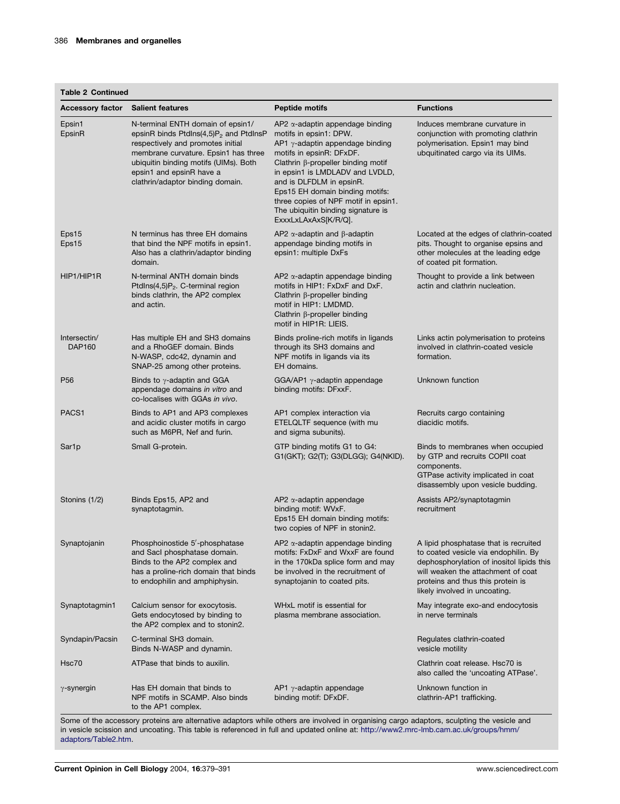| <b>Accessory factor</b> | <b>Salient features</b>                                                                                                                                                                                                                                               | <b>Peptide motifs</b>                                                                                                                                                                                                                                                                                                                                                                         | <b>Functions</b>                                                                                                                                                                                                                       |
|-------------------------|-----------------------------------------------------------------------------------------------------------------------------------------------------------------------------------------------------------------------------------------------------------------------|-----------------------------------------------------------------------------------------------------------------------------------------------------------------------------------------------------------------------------------------------------------------------------------------------------------------------------------------------------------------------------------------------|----------------------------------------------------------------------------------------------------------------------------------------------------------------------------------------------------------------------------------------|
| Epsin1<br>EpsinR        | N-terminal ENTH domain of epsin1/<br>epsinR binds Ptdlns $(4,5)P_2$ and PtdlnsP<br>respectively and promotes initial<br>membrane curvature. Epsin1 has three<br>ubiquitin binding motifs (UIMs). Both<br>epsin1 and epsinR have a<br>clathrin/adaptor binding domain. | $AP2 \alpha$ -adaptin appendage binding<br>motifs in epsin1: DPW.<br>AP1 $\gamma$ -adaptin appendage binding<br>motifs in epsinR: DFxDF.<br>Clathrin $\beta$ -propeller binding motif<br>in epsin1 is LMDLADV and LVDLD,<br>and is DLFDLM in epsinR.<br>Eps15 EH domain binding motifs:<br>three copies of NPF motif in epsin1.<br>The ubiquitin binding signature is<br>ExxxLxLAxAxS[K/R/Q]. | Induces membrane curvature in<br>conjunction with promoting clathrin<br>polymerisation. Epsin1 may bind<br>ubquitinated cargo via its UIMs.                                                                                            |
| Eps15<br>Eps15          | N terminus has three EH domains<br>that bind the NPF motifs in epsin1.<br>Also has a clathrin/adaptor binding<br>domain.                                                                                                                                              | AP2 $\alpha$ -adaptin and $\beta$ -adaptin<br>appendage binding motifs in<br>epsin1: multiple DxFs                                                                                                                                                                                                                                                                                            | Located at the edges of clathrin-coated<br>pits. Thought to organise epsins and<br>other molecules at the leading edge<br>of coated pit formation.                                                                                     |
| HIP1/HIP1R              | N-terminal ANTH domain binds<br>Ptdlns $(4,5)P_2$ . C-terminal region<br>binds clathrin, the AP2 complex<br>and actin.                                                                                                                                                | $AP2 \alpha$ -adaptin appendage binding<br>motifs in HIP1: FxDxF and DxF.<br>Clathrin $\beta$ -propeller binding<br>motif in HIP1: LMDMD.<br>Clathrin $\beta$ -propeller binding<br>motif in HIP1R: LIEIS.                                                                                                                                                                                    | Thought to provide a link between<br>actin and clathrin nucleation.                                                                                                                                                                    |
| Intersectin/<br>DAP160  | Has multiple EH and SH3 domains<br>and a RhoGEF domain. Binds<br>N-WASP, cdc42, dynamin and<br>SNAP-25 among other proteins.                                                                                                                                          | Binds proline-rich motifs in ligands<br>through its SH3 domains and<br>NPF motifs in ligands via its<br>EH domains.                                                                                                                                                                                                                                                                           | Links actin polymerisation to proteins<br>involved in clathrin-coated vesicle<br>formation.                                                                                                                                            |
| P <sub>56</sub>         | Binds to $\gamma$ -adaptin and GGA<br>appendage domains in vitro and<br>co-localises with GGAs in vivo.                                                                                                                                                               | GGA/AP1 $\gamma$ -adaptin appendage<br>binding motifs: DFxxF.                                                                                                                                                                                                                                                                                                                                 | Unknown function                                                                                                                                                                                                                       |
| PACS <sub>1</sub>       | Binds to AP1 and AP3 complexes<br>and acidic cluster motifs in cargo<br>such as M6PR, Nef and furin.                                                                                                                                                                  | AP1 complex interaction via<br>ETELQLTF sequence (with mu<br>and sigma subunits).                                                                                                                                                                                                                                                                                                             | Recruits cargo containing<br>diacidic motifs.                                                                                                                                                                                          |
| Sar1p                   | Small G-protein.                                                                                                                                                                                                                                                      | GTP binding motifs G1 to G4:<br>G1(GKT); G2(T); G3(DLGG); G4(NKID).                                                                                                                                                                                                                                                                                                                           | Binds to membranes when occupied<br>by GTP and recruits COPII coat<br>components.<br>GTPase activity implicated in coat<br>disassembly upon vesicle budding.                                                                           |
| Stonins (1/2)           | Binds Eps15, AP2 and<br>synaptotagmin.                                                                                                                                                                                                                                | $AP2 \alpha$ -adaptin appendage<br>binding motif: WVxF.<br>Eps15 EH domain binding motifs:<br>two copies of NPF in stonin2.                                                                                                                                                                                                                                                                   | Assists AP2/synaptotagmin<br>recruitment                                                                                                                                                                                               |
| Synaptojanin            | Phosphoinostide 5'-phosphatase<br>and Sacl phosphatase domain.<br>Binds to the AP2 complex and<br>has a proline-rich domain that binds<br>to endophilin and amphiphysin.                                                                                              | $AP2 \alpha$ -adaptin appendage binding<br>motifs: FxDxF and WxxF are found<br>in the 170kDa splice form and may<br>be involved in the recruitment of<br>synaptojanin to coated pits.                                                                                                                                                                                                         | A lipid phosphatase that is recruited<br>to coated vesicle via endophilin. By<br>dephosphorylation of inositol lipids this<br>will weaken the attachment of coat<br>proteins and thus this protein is<br>likely involved in uncoating. |
| Synaptotagmin1          | Calcium sensor for exocytosis.<br>Gets endocytosed by binding to<br>the AP2 complex and to stonin2.                                                                                                                                                                   | WHxL motif is essential for<br>plasma membrane association.                                                                                                                                                                                                                                                                                                                                   | May integrate exo-and endocytosis<br>in nerve terminals                                                                                                                                                                                |
| Syndapin/Pacsin         | C-terminal SH3 domain.<br>Binds N-WASP and dynamin.                                                                                                                                                                                                                   |                                                                                                                                                                                                                                                                                                                                                                                               | Regulates clathrin-coated<br>vesicle motility                                                                                                                                                                                          |
| Hsc70                   | ATPase that binds to auxilin.                                                                                                                                                                                                                                         |                                                                                                                                                                                                                                                                                                                                                                                               | Clathrin coat release. Hsc70 is<br>also called the 'uncoating ATPase'.                                                                                                                                                                 |
| $\gamma$ -synergin      | Has EH domain that binds to<br>NPF motifs in SCAMP. Also binds<br>to the AP1 complex.                                                                                                                                                                                 | AP1 $\gamma$ -adaptin appendage<br>binding motif: DFxDF.                                                                                                                                                                                                                                                                                                                                      | Unknown function in<br>clathrin-AP1 trafficking.                                                                                                                                                                                       |

Some of the accessory proteins are alternative adaptors while others are involved in organising cargo adaptors, sculpting the vesicle and in vesicle scission and uncoating. This table is referenced in full and updated online at: [http://www2.mrc-lmb.cam.ac.uk/groups/hmm/](#page-5-0) [adaptors/Table2.htm.](#page-5-0)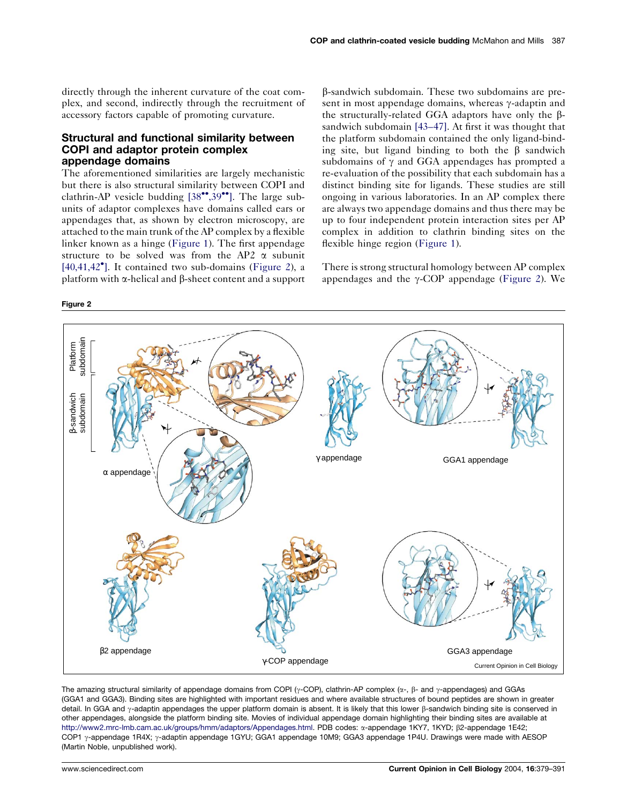directly through the inherent curvature of the coat complex, and second, indirectly through the recruitment of accessory factors capable of promoting curvature.

## Structural and functional similarity between COPI and adaptor protein complex appendage domains

The aforementioned similarities are largely mechanistic but there is also structural similarity between COPI and clathrin-AP vesicle budding  $[38$ <sup>\*\*</sup>[,39](#page-12-0)<sup>\*\*</sup>[\].](#page-12-0) The large subunits of adaptor complexes have domains called ears or appendages that, as shown by electron microscopy, are attached to the main trunk of the AP complex by a flexible linker known as a hinge ([Figure 1\)](#page-1-0). The first appendage structure to be solved was from the AP2  $\alpha$  subunit [\[40,41,42](#page-12-0) [\]](#page-12-0). It contained two sub-domains (Figure 2), a platform with  $\alpha$ -helical and  $\beta$ -sheet content and a support

Figure 2

b-sandwich subdomain. These two subdomains are present in most appendage domains, whereas  $\gamma$ -adaptin and the structurally-related GGA adaptors have only the  $\beta$ sandwich subdomain [\[43–47\].](#page-12-0) At first it was thought that the platform subdomain contained the only ligand-binding site, but ligand binding to both the  $\beta$  sandwich subdomains of  $\gamma$  and GGA appendages has prompted a re-evaluation of the possibility that each subdomain has a distinct binding site for ligands. These studies are still ongoing in various laboratories. In an AP complex there are always two appendage domains and thus there may be up to four independent protein interaction sites per AP complex in addition to clathrin binding sites on the flexible hinge region ([Figure 1](#page-1-0)).

There is strong structural homology between AP complex appendages and the  $\gamma$ -COP appendage (Figure 2). We



The amazing structural similarity of appendage domains from COPI ( $\gamma$ -COP), clathrin-AP complex ( $\alpha$ -,  $\beta$ - and  $\gamma$ -appendages) and GGAs (GGA1 and GGA3). Binding sites are highlighted with important residues and where available structures of bound peptides are shown in greater detail. In GGA and  $\gamma$ -adaptin appendages the upper platform domain is absent. It is likely that this lower  $\beta$ -sandwich binding site is conserved in other appendages, alongside the platform binding site. Movies of individual appendage domain highlighting their binding sites are available at [http://www2.mrc-lmb.cam.ac.uk/groups/hmm/adaptors/Appendages.html.](#page-5-0) PDB codes: x-appendage 1KY7, 1KYD;  $\beta$ 2-appendage 1E42; COP1 y-appendage 1R4X; y-adaptin appendage 1GYU; GGA1 appendage 10M9; GGA3 appendage 1P4U. Drawings were made with AESOP (Martin Noble, unpublished work).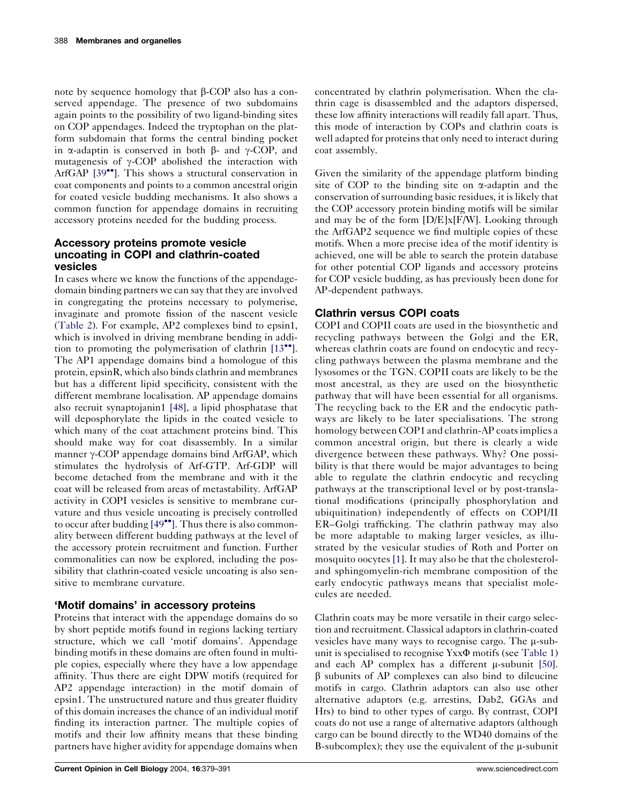note by sequence homology that  $\beta$ -COP also has a conserved appendage. The presence of two subdomains again points to the possibility of two ligand-binding sites on COP appendages. Indeed the tryptophan on the platform subdomain that forms the central binding pocket in  $\alpha$ -adaptin is conserved in both  $\beta$ - and  $\gamma$ -COP, and mutagenesis of  $\gamma$ -COP abolished the interaction with ArfGAP  $[39$ <sup> $\bullet$ </sup>[\].](#page-12-0) This shows a structural conservation in coat components and points to a common ancestral origin for coated vesicle budding mechanisms. It also shows a common function for appendage domains in recruiting accessory proteins needed for the budding process.

## Accessory proteins promote vesicle uncoating in COPI and clathrin-coated vesicles

In cases where we know the functions of the appendagedomain binding partners we can say that they are involved in congregating the proteins necessary to polymerise, invaginate and promote fission of the nascent vesicle [\(Table 2](#page-6-0)). For example, AP2 complexes bind to epsin1, which is involved in driving membrane bending in addition to promoting the polymerisation of clathrin  $[13\bullet$  $[13\bullet$ . The AP1 appendage domains bind a homologue of this protein, epsinR, which also binds clathrin and membranes but has a different lipid specificity, consistent with the different membrane localisation. AP appendage domains also recruit synaptojanin1 [\[48\]](#page-12-0), a lipid phosphatase that will deposphorylate the lipids in the coated vesicle to which many of the coat attachment proteins bind. This should make way for coat disassembly. In a similar manner  $\gamma$ -COP appendage domains bind ArfGAP, which stimulates the hydrolysis of Arf-GTP. Arf-GDP will become detached from the membrane and with it the coat will be released from areas of metastability. ArfGAP activity in COPI vesicles is sensitive to membrane curvature and thus vesicle uncoating is precisely controlled to occur after budding  $[49$ <sup> $\bullet$ </sup>[\].](#page-12-0) Thus there is also commonality between different budding pathways at the level of the accessory protein recruitment and function. Further commonalities can now be explored, including the possibility that clathrin-coated vesicle uncoating is also sensitive to membrane curvature.

# 'Motif domains' in accessory proteins

Proteins that interact with the appendage domains do so by short peptide motifs found in regions lacking tertiary structure, which we call 'motif domains'. Appendage binding motifs in these domains are often found in multiple copies, especially where they have a low appendage affinity. Thus there are eight DPW motifs (required for AP2 appendage interaction) in the motif domain of epsin1. The unstructured nature and thus greater fluidity of this domain increases the chance of an individual motif finding its interaction partner. The multiple copies of motifs and their low affinity means that these binding partners have higher avidity for appendage domains when

concentrated by clathrin polymerisation. When the clathrin cage is disassembled and the adaptors dispersed, these low affinity interactions will readily fall apart. Thus, this mode of interaction by COPs and clathrin coats is well adapted for proteins that only need to interact during coat assembly.

Given the similarity of the appendage platform binding site of COP to the binding site on  $\alpha$ -adaptin and the conservation of surrounding basic residues, it is likely that the COP accessory protein binding motifs will be similar and may be of the form [D/E]x[F/W]. Looking through the ArfGAP2 sequence we find multiple copies of these motifs. When a more precise idea of the motif identity is achieved, one will be able to search the protein database for other potential COP ligands and accessory proteins for COP vesicle budding, as has previously been done for AP-dependent pathways.

# Clathrin versus COPI coats

COPI and COPII coats are used in the biosynthetic and recycling pathways between the Golgi and the ER, whereas clathrin coats are found on endocytic and recycling pathways between the plasma membrane and the lysosomes or the TGN. COPII coats are likely to be the most ancestral, as they are used on the biosynthetic pathway that will have been essential for all organisms. The recycling back to the ER and the endocytic pathways are likely to be later specialisations. The strong homology between COP1 and clathrin-AP coats implies a common ancestral origin, but there is clearly a wide divergence between these pathways. Why? One possibility is that there would be major advantages to being able to regulate the clathrin endocytic and recycling pathways at the transcriptional level or by post-translational modifications (principally phosphorylation and ubiquitination) independently of effects on COPI/II ER–Golgi trafficking. The clathrin pathway may also be more adaptable to making larger vesicles, as illustrated by the vesicular studies of Roth and Porter on mosquito oocytes [\[1\].](#page-11-0) It may also be that the cholesteroland sphingomyelin-rich membrane composition of the early endocytic pathways means that specialist molecules are needed.

Clathrin coats may be more versatile in their cargo selection and recruitment. Classical adaptors in clathrin-coated vesicles have many ways to recognise cargo. The  $\mu$ -subunit is specialised to recognise  $Yxx\Phi$  motifs (see [Table 1\)](#page-3-0) and each AP complex has a different  $\mu$ -subunit [\[50\].](#page-12-0)  $\beta$  subunits of AP complexes can also bind to dileucine motifs in cargo. Clathrin adaptors can also use other alternative adaptors (e.g. arrestins, Dab2, GGAs and Hrs) to bind to other types of cargo. By contrast, COPI coats do not use a range of alternative adaptors (although cargo can be bound directly to the WD40 domains of the B-subcomplex); they use the equivalent of the  $\mu$ -subunit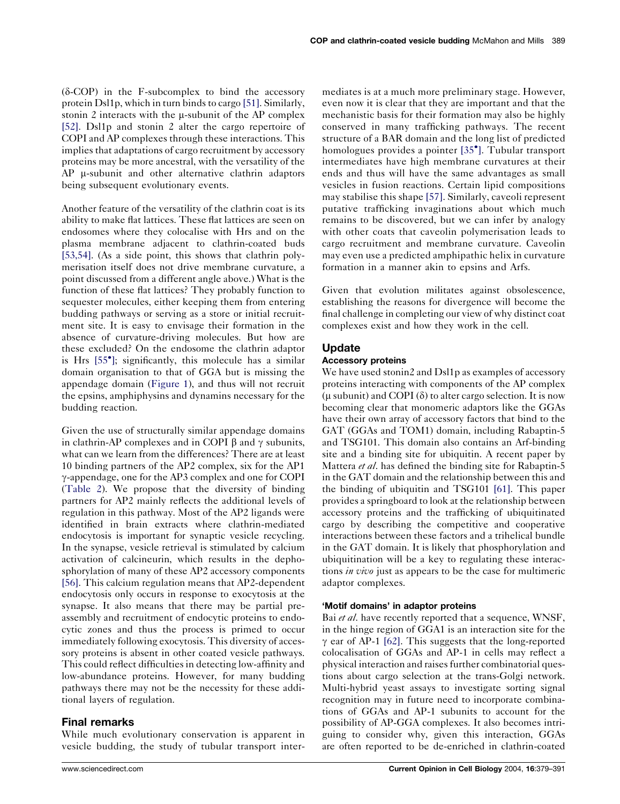$(\delta$ -COP) in the F-subcomplex to bind the accessory protein Dsl1p, which in turn binds to cargo [\[51\]](#page-12-0). Similarly, stonin 2 interacts with the  $\mu$ -subunit of the AP complex [\[52\].](#page-12-0) Dsl1p and stonin 2 alter the cargo repertoire of COPI and AP complexes through these interactions. This implies that adaptations of cargo recruitment by accessory proteins may be more ancestral, with the versatility of the  $AP$  u-subunit and other alternative clathrin adaptors being subsequent evolutionary events.

Another feature of the versatility of the clathrin coat is its ability to make flat lattices. These flat lattices are seen on endosomes where they colocalise with Hrs and on the plasma membrane adjacent to clathrin-coated buds [\[53,54\]](#page-12-0). (As a side point, this shows that clathrin polymerisation itself does not drive membrane curvature, a point discussed from a different angle above.) What is the function of these flat lattices? They probably function to sequester molecules, either keeping them from entering budding pathways or serving as a store or initial recruitment site. It is easy to envisage their formation in the absence of curvature-driving molecules. But how are these excluded? On the endosome the clathrin adaptor is Hrs [\[55](#page-12-0) [\];](#page-12-0) significantly, this molecule has a similar domain organisation to that of GGA but is missing the appendage domain [\(Figure 1](#page-1-0)), and thus will not recruit the epsins, amphiphysins and dynamins necessary for the budding reaction.

Given the use of structurally similar appendage domains in clathrin-AP complexes and in COPI  $\beta$  and  $\gamma$  subunits, what can we learn from the differences? There are at least 10 binding partners of the AP2 complex, six for the AP1 g-appendage, one for the AP3 complex and one for COPI [\(Table 2](#page-6-0)). We propose that the diversity of binding partners for AP2 mainly reflects the additional levels of regulation in this pathway. Most of the AP2 ligands were identified in brain extracts where clathrin-mediated endocytosis is important for synaptic vesicle recycling. In the synapse, vesicle retrieval is stimulated by calcium activation of calcineurin, which results in the dephosphorylation of many of these AP2 accessory components [\[56\].](#page-12-0) This calcium regulation means that AP2-dependent endocytosis only occurs in response to exocytosis at the synapse. It also means that there may be partial preassembly and recruitment of endocytic proteins to endocytic zones and thus the process is primed to occur immediately following exocytosis. This diversity of accessory proteins is absent in other coated vesicle pathways. This could reflect difficulties in detecting low-affinity and low-abundance proteins. However, for many budding pathways there may not be the necessity for these additional layers of regulation.

## Final remarks

While much evolutionary conservation is apparent in vesicle budding, the study of tubular transport inter-

mediates is at a much more preliminary stage. However, even now it is clear that they are important and that the mechanistic basis for their formation may also be highly conserved in many trafficking pathways. The recent structure of a BAR domain and the long list of predicted homologues provides a pointer [\[35](#page-12-0) [\].](#page-12-0) Tubular transport intermediates have high membrane curvatures at their ends and thus will have the same advantages as small vesicles in fusion reactions. Certain lipid compositions may stabilise this shape [\[57\]](#page-12-0). Similarly, caveoli represent putative trafficking invaginations about which much remains to be discovered, but we can infer by analogy with other coats that caveolin polymerisation leads to cargo recruitment and membrane curvature. Caveolin may even use a predicted amphipathic helix in curvature formation in a manner akin to epsins and Arfs.

Given that evolution militates against obsolescence, establishing the reasons for divergence will become the final challenge in completing our view of why distinct coat complexes exist and how they work in the cell.

# Update

### Accessory proteins

We have used stonin2 and Dsl1p as examples of accessory proteins interacting with components of the AP complex  $(\mu$  subunit) and COPI  $(\delta)$  to alter cargo selection. It is now becoming clear that monomeric adaptors like the GGAs have their own array of accessory factors that bind to the GAT (GGAs and TOM1) domain, including Rabaptin-5 and TSG101. This domain also contains an Arf-binding site and a binding site for ubiquitin. A recent paper by Mattera *et al*. has defined the binding site for Rabaptin-5 in the GAT domain and the relationship between this and the binding of ubiquitin and TSG101 [\[61\]](#page-12-0). This paper provides a springboard to look at the relationship between accessory proteins and the trafficking of ubiquitinated cargo by describing the competitive and cooperative interactions between these factors and a trihelical bundle in the GAT domain. It is likely that phosphorylation and ubiquitination will be a key to regulating these interactions in vivo just as appears to be the case for multimeric adaptor complexes.

### 'Motif domains' in adaptor proteins

Bai *et al*. have recently reported that a sequence, WNSF, in the hinge region of GGA1 is an interaction site for the  $\gamma$  ear of AP-1 [\[62\].](#page-12-0) This suggests that the long-reported colocalisation of GGAs and AP-1 in cells may reflect a physical interaction and raises further combinatorial questions about cargo selection at the trans-Golgi network. Multi-hybrid yeast assays to investigate sorting signal recognition may in future need to incorporate combinations of GGAs and AP-1 subunits to account for the possibility of AP-GGA complexes. It also becomes intriguing to consider why, given this interaction, GGAs are often reported to be de-enriched in clathrin-coated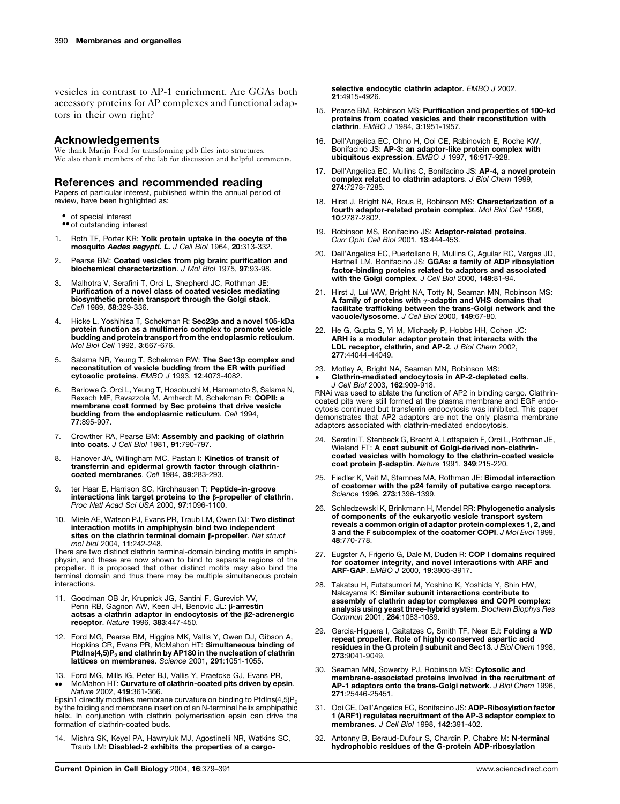<span id="page-11-0"></span>vesicles in contrast to AP-1 enrichment. Are GGAs both accessory proteins for AP complexes and functional adaptors in their own right?

## Acknowledgements

We thank Marijn Ford for transforming pdb files into structures. We also thank members of the lab for discussion and helpful comments.

### References and recommended reading

Papers of particular interest, published within the annual period of review, have been highlighted as:

- of special interest<br>•• of outstanding interest
- 
- 1. Roth TF, Porter KR: Yolk protein uptake in the oocyte of the mosquito Aedes aegypti. L. J Cell Biol 1964, 20:313-332.
- 2. Pearse BM: Coated vesicles from pig brain: purification and biochemical characterization. J Mol Biol 1975, 97:93-98.
- 3. Malhotra V, Serafini T, Orci L, Shepherd JC, Rothman JE: Purification of a novel class of coated vesicles mediating biosynthetic protein transport through the Golgi stack. Cell 1989, 58:329-336.
- 4. Hicke L, Yoshihisa T, Schekman R: Sec23p and a novel 105-kDa protein function as a multimeric complex to promote vesicle budding and protein transport from the endoplasmic reticulum. Mol Biol Cell 1992, 3:667-676.
- 5. Salama NR, Yeung T, Schekman RW: The Sec13p complex and reconstitution of vesicle budding from the ER with purified cytosolic proteins. EMBO J 1993, 12:4073-4082.
- 6. Barlowe C, Orci L, Yeung T, Hosobuchi M, Hamamoto S, Salama N, Rexach MF, Ravazzola M, Amherdt M, Schekman R: COPII: a membrane coat formed by Sec proteins that drive vesicle budding from the endoplasmic reticulum. Cell 1994, 77:895-907.
- 7. Crowther RA, Pearse BM: Assembly and packing of clathrin into coats. J Cell Biol 1981, 91:790-797.
- 8. Hanover JA, Willingham MC, Pastan I: Kinetics of transit of transferrin and epidermal growth factor through clathrincoated membranes. Cell 1984, 39:283-293.
- 9. ter Haar E, Harrison SC, Kirchhausen T: Peptide-in-groove interactions link target proteins to the  $\beta$ -propeller of clathrin. Proc Natl Acad Sci USA 2000, 97:1096-1100.
- 10. Miele AE, Watson PJ, Evans PR, Traub LM, Owen DJ: Two distinct interaction motifs in amphiphysin bind two independent sites on the clathrin terminal domain  $\beta$ -propeller. Nat struct mol biol 2004, 11:242-248.

There are two distinct clathrin terminal-domain binding motifs in amphiphysin, and these are now shown to bind to separate regions of the propeller. It is proposed that other distinct motifs may also bind the terminal domain and thus there may be multiple simultaneous protein interactions.

- 11. Goodman OB Jr, Krupnick JG, Santini F, Gurevich VV, Penn RB, Gagnon AW, Keen JH, Benovic JL: b-arrestin actsas a clathrin adaptor in endocytosis of the  $\beta$ 2-adrenergic receptor. Nature 1996, 383:447-450.
- 12. Ford MG, Pearse BM, Higgins MK, Vallis Y, Owen DJ, Gibson A, Hopkins CR, Evans PR, McMahon HT: Simultaneous binding of PtdIns(4,5) $P_2$  and clathrin by AP180 in the nucleation of clathrin lattices on membranes. Science 2001, 291:1051-1055.
- 13.  $\bullet \bullet$ Ford MG, Mills IG, Peter BJ, Vallis Y, Praefcke GJ, Evans PR,<br>McMahon HT: **Curvature of clathrin-coated pits driven by epsin**.

Nature 2002, 419:361-366. Epsin1 directly modifies membrane curvature on binding to PtdIns(4.5)P<sub>2</sub> by the folding and membrane insertion of an N-terminal helix amphipathic helix. In conjunction with clathrin polymerisation epsin can drive the formation of clathrin-coated buds.

14. Mishra SK, Keyel PA, Hawryluk MJ, Agostinelli NR, Watkins SC, Traub LM: Disabled-2 exhibits the properties of a cargoselective endocytic clathrin adaptor. EMBO J 2002. 21:4915-4926.

- 15. Pearse BM, Robinson MS: Purification and properties of 100-kd proteins from coated vesicles and their reconstitution with clathrin. EMBO J 1984, 3:1951-1957.
- 16. Dell'Angelica EC, Ohno H, Ooi CE, Rabinovich E, Roche KW, Bonifacino JS: AP-3: an adaptor-like protein complex with ubiquitous expression. EMBO J 1997, 16:917-928.
- 17. Dell'Angelica EC, Mullins C, Bonifacino JS: AP-4, a novel protein complex related to clathrin adaptors. J Biol Chem 1999, 274:7278-7285.
- 18. Hirst J, Bright NA, Rous B, Robinson MS: Characterization of a fourth adaptor-related protein complex. Mol Biol Cell 1999, 10:2787-2802.
- 19. Robinson MS, Bonifacino JS: Adaptor-related proteins. Curr Opin Cell Biol 2001, 13:444-453.
- 20. Dell'Angelica EC, Puertollano R, Mullins C, Aguilar RC, Vargas JD, Hartnell LM, Bonifacino JS: GGAs: a family of ADP ribosylation factor-binding proteins related to adaptors and associated with the Golgi complex. J Cell Biol 2000, 149:81-94.
- 21. Hirst J, Lui WW, Bright NA, Totty N, Seaman MN, Robinson MS:<br>**A family of proteins with <sub>Y</sub>-adaptin and VHS domains that** facilitate trafficking between the trans-Golgi network and the vacuole/lysosome. J Cell Biol 2000, 149:67-80.
- 22. He G, Gupta S, Yi M, Michaely P, Hobbs HH, Cohen JC: ARH is a modular adaptor protein that interacts with the LDL receptor, clathrin, and AP-2. J Biol Chem 2002, 277:44044-44049.
- 23. Motley A, Bright NA, Seaman MN, Robinson MS:  $\bullet$ Clathrin-mediated endocytosis in AP-2-depleted cells.

J Cell Biol 2003, 162:909-918. RNAi was used to ablate the function of AP2 in binding cargo. Clathrincoated pits were still formed at the plasma membrane and EGF endocytosis continued but transferrin endocytosis was inhibited. This paper demonstrates that AP2 adaptors are not the only plasma membrane adaptors associated with clathrin-mediated endocytosis.

- 24. Serafini T, Stenbeck G, Brecht A, Lottspeich F, Orci L, Rothman JE, Wieland FT: A coat subunit of Golgi-derived non-clathrincoated vesicles with homology to the clathrin-coated vesicle coat protein b-adaptin. Nature 1991, 349:215-220.
- 25. Fiedler K, Veit M, Stamnes MA, Rothman JE: Bimodal interaction of coatomer with the p24 family of putative cargo receptors. Science 1996, 273:1396-1399.
- 26. Schledzewski K, Brinkmann H, Mendel RR: Phylogenetic analysis of components of the eukaryotic vesicle transport system reveals a common origin of adaptor protein complexes 1, 2, and 3 and the F subcomplex of the coatomer COPI. J Mol Evol 1999, 48:770-778.
- 27. Eugster A, Frigerio G, Dale M, Duden R: COP I domains required for coatomer integrity, and novel interactions with ARF and<br>ARF-GAP. *EMBO J* 2000, 19:3905-3917.
- 28. Takatsu H, Futatsumori M, Yoshino K, Yoshida Y, Shin HW, Nakayama K: Similar subunit interactions contribute to assembly of clathrin adaptor complexes and COPI complex: **analysis using yeast three-hybrid system**. Biochem Biophys Res<br>Commun 2001, **284**:1083-1089.
- 29. Garcia-Higuera I, Gaitatzes C, Smith TF, Neer EJ: Folding a WD repeat propeller. Role of highly conserved aspartic acid residues in the G protein  $\beta$  subunit and Sec13. J Biol Chem 1998, 273:9041-9049.
- 30. Seaman MN, Sowerby PJ, Robinson MS: Cytosolic and membrane-associated proteins involved in the recruitment of AP-1 adaptors onto the trans-Golgi network. J Biol Chem 1996, 271:25446-25451.
- 31. Ooi CE, Dell'Angelica EC, Bonifacino JS: ADP-Ribosylation factor 1 (ARF1) regulates recruitment of the AP-3 adaptor complex to membranes. J Cell Biol 1998, 142:391-402.
- 32. Antonny B, Beraud-Dufour S, Chardin P, Chabre M: N-terminal hydrophobic residues of the G-protein ADP-ribosylation